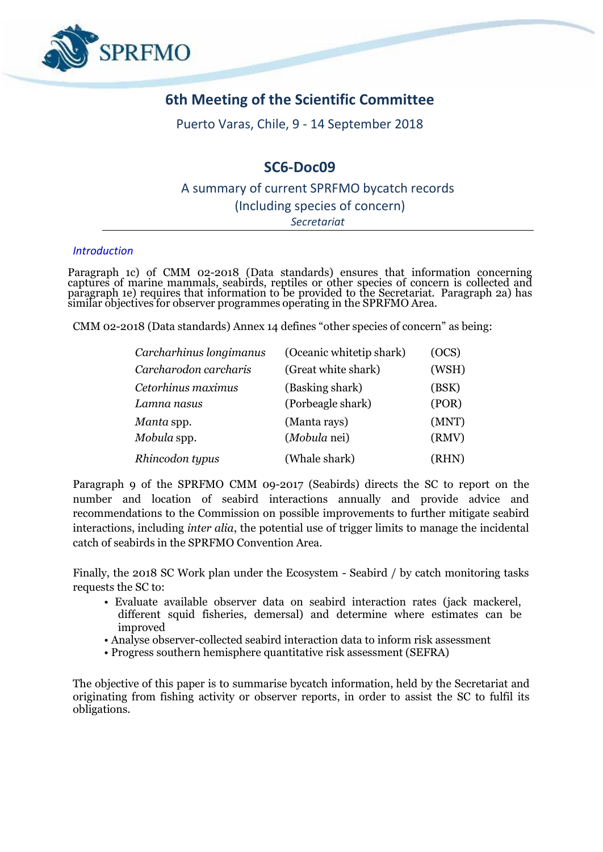

# **6th Meeting of the Scientific Committee**

Puerto Varas, Chile, 9 - 14 September 2018

# **SC6-Doc09**

## A summary of current SPRFMO bycatch records (Including species of concern) *Secretariat*

#### *Introduction*

Paragraph 1c) of CMM 02-2018 (Data standards) ensures that information concerning captures of marine mammals, seabirds, reptiles or other species of concern is collected and paragraph 1e) requires that information to be provided to the Secretariat. Paragraph 2a) has similar objectives for observer programmes operating in the SPRFMO Area.

CMM 02-2018 (Data standards) Annex 14 defines "other species of concern" as being:

| Carcharhinus longimanus | (Oceanic whitetip shark) | (OCS) |
|-------------------------|--------------------------|-------|
| Carcharodon carcharis   | (Great white shark)      | (WSH) |
| Cetorhinus maximus      | (Basking shark)          | (BSK) |
| Lamna nasus             | (Porbeagle shark)        | (POR) |
| Manta spp.              | (Manta rays)             | (MNT) |
| Mobula spp.             | (Mobula nei)             | (RMV) |
| Rhincodon typus         | (Whale shark)            | (RHN) |

Paragraph 9 of the SPRFMO CMM 09-2017 (Seabirds) directs the SC to report on the number and location of seabird interactions annually and provide advice and recommendations to the Commission on possible improvements to further mitigate seabird interactions, including *inter alia*, the potential use of trigger limits to manage the incidental catch of seabirds in the SPRFMO Convention Area.

Finally, the 2018 SC Work plan under the Ecosystem - Seabird / by catch monitoring tasks requests the SC to:

- Evaluate available observer data on seabird interaction rates (jack mackerel, different squid fisheries, demersal) and determine where estimates can be improved
- Analyse observer-collected seabird interaction data to inform risk assessment
- Progress southern hemisphere quantitative risk assessment (SEFRA)

The objective of this paper is to summarise bycatch information, held by the Secretariat and originating from fishing activity or observer reports, in order to assist the SC to fulfil its obligations.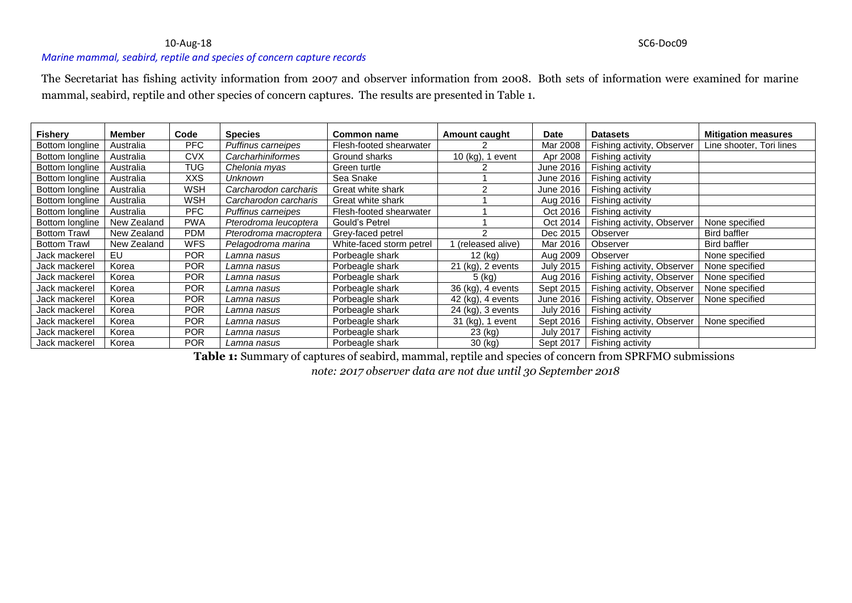#### 10-Aug-18 SC6-Doc09

### *Marine mammal, seabird, reptile and species of concern capture records*

The Secretariat has fishing activity information from 2007 and observer information from 2008. Both sets of information were examined for marine mammal, seabird, reptile and other species of concern captures. The results are presented in Table 1.

| <b>Fishery</b>      | <b>Member</b> | Code       | <b>Species</b>        | Common name              | Amount caught     | Date             | <b>Datasets</b>            | <b>Mitigation measures</b> |
|---------------------|---------------|------------|-----------------------|--------------------------|-------------------|------------------|----------------------------|----------------------------|
| Bottom longline     | Australia     | <b>PFC</b> | Puffinus carneipes    | Flesh-footed shearwater  |                   | Mar 2008         | Fishing activity, Observer | Line shooter, Tori lines   |
| Bottom longline     | Australia     | CVX        | Carcharhiniformes     | Ground sharks            | 10 (kg), 1 event  | Apr 2008         | Fishing activity           |                            |
| Bottom longline     | Australia     | TUG        | Chelonia myas         | Green turtle             |                   | June 2016        | Fishing activity           |                            |
| Bottom longline     | Australia     | <b>XXS</b> | Unknown               | Sea Snake                |                   | June 2016        | Fishing activity           |                            |
| Bottom longline     | Australia     | WSH        | Carcharodon carcharis | Great white shark        |                   | June 2016        | Fishing activity           |                            |
| Bottom longline     | Australia     | WSH        | Carcharodon carcharis | Great white shark        |                   | Aug 2016         | Fishing activity           |                            |
| Bottom longline     | Australia     | <b>PFC</b> | Puffinus carneipes    | Flesh-footed shearwater  |                   | Oct 2016         | Fishing activity           |                            |
| Bottom longline     | New Zealand   | <b>PWA</b> | Pterodroma leucoptera | Gould's Petrel           |                   | Oct 2014         | Fishing activity, Observer | None specified             |
| <b>Bottom Trawl</b> | New Zealand   | <b>PDM</b> | Pterodroma macroptera | Grey-faced petrel        |                   | Dec 2015         | Observer                   | <b>Bird baffler</b>        |
| <b>Bottom Trawl</b> | New Zealand   | <b>WFS</b> | Pelagodroma marina    | White-faced storm petrel | (released alive)  | Mar 2016         | Observer                   | <b>Bird baffler</b>        |
| Jack mackerel       | EU            | <b>POR</b> | Lamna nasus           | Porbeagle shark          | 12 (kg)           | Aug 2009         | Observer                   | None specified             |
| Jack mackerel       | Korea         | <b>POR</b> | Lamna nasus           | Porbeagle shark          | 21 (kg), 2 events | <b>July 2015</b> | Fishing activity, Observer | None specified             |
| Jack mackerel       | Korea         | <b>POR</b> | Lamna nasus           | Porbeagle shark          | 5 (kg)            | Aug 2016         | Fishing activity, Observer | None specified             |
| Jack mackerel       | Korea         | <b>POR</b> | Lamna nasus           | Porbeagle shark          | 36 (kg), 4 events | Sept 2015        | Fishing activity, Observer | None specified             |
| Jack mackerel       | Korea         | <b>POR</b> | Lamna nasus           | Porbeagle shark          | 42 (kg), 4 events | June 2016        | Fishing activity, Observer | None specified             |
| Jack mackerel       | Korea         | <b>POR</b> | Lamna nasus           | Porbeagle shark          | 24 (kg), 3 events | <b>July 2016</b> | Fishing activity           |                            |
| Jack mackerel       | Korea         | <b>POR</b> | Lamna nasus           | Porbeagle shark          | 31 (kg), 1 event  | Sept 2016        | Fishing activity, Observer | None specified             |
| Jack mackerel       | Korea         | <b>POR</b> | Lamna nasus           | Porbeagle shark          | 23 (kg)           | <b>July 2017</b> | Fishing activity           |                            |
| Jack mackerel       | Korea         | <b>POR</b> | Lamna nasus           | Porbeagle shark          | 30 (kg)           | Sept 2017        | Fishing activity           |                            |

**Table 1:** Summary of captures of seabird, mammal, reptile and species of concern from SPRFMO submissions

*note: 2017 observer data are not due until 30 September 2018*